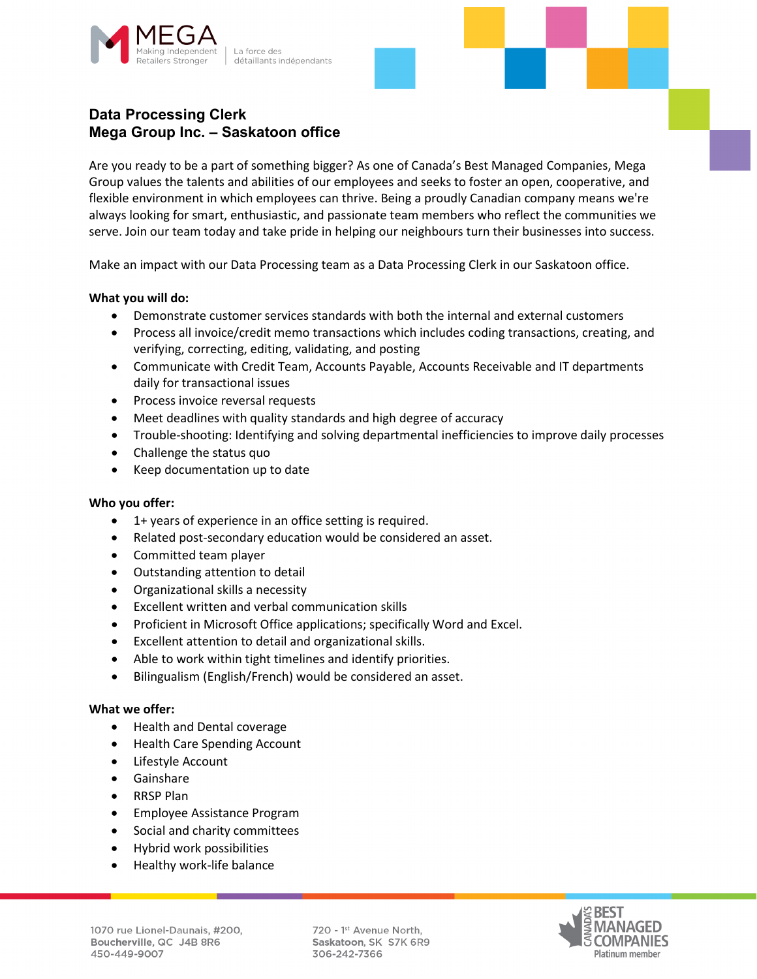



Are you ready to be a part of something bigger? As one of Canada's Best Managed Companies, Mega Group values the talents and abilities of our employees and seeks to foster an open, cooperative, and flexible environment in which employees can thrive. Being a proudly Canadian company means we're always looking for smart, enthusiastic, and passionate team members who reflect the communities we serve. Join our team today and take pride in helping our neighbours turn their businesses into success.

Make an impact with our Data Processing team as a Data Processing Clerk in our Saskatoon office.

## **What you will do:**

- Demonstrate customer services standards with both the internal and external customers
- Process all invoice/credit memo transactions which includes coding transactions, creating, and verifying, correcting, editing, validating, and posting
- Communicate with Credit Team, Accounts Payable, Accounts Receivable and IT departments daily for transactional issues
- Process invoice reversal requests
- Meet deadlines with quality standards and high degree of accuracy
- Trouble-shooting: Identifying and solving departmental inefficiencies to improve daily processes
- Challenge the status quo
- Keep documentation up to date

### **Who you offer:**

- 1+ years of experience in an office setting is required.
- Related post-secondary education would be considered an asset.
- Committed team player
- Outstanding attention to detail
- Organizational skills a necessity
- Excellent written and verbal communication skills
- Proficient in Microsoft Office applications; specifically Word and Excel.
- Excellent attention to detail and organizational skills.
- Able to work within tight timelines and identify priorities.
- Bilingualism (English/French) would be considered an asset.

### **What we offer:**

- Health and Dental coverage
- Health Care Spending Account
- Lifestyle Account
- Gainshare
- RRSP Plan
- Employee Assistance Program
- Social and charity committees
- Hybrid work possibilities
- Healthy work-life balance

720 - 1st Avenue North, Saskatoon, SK S7K 6R9 306-242-7366